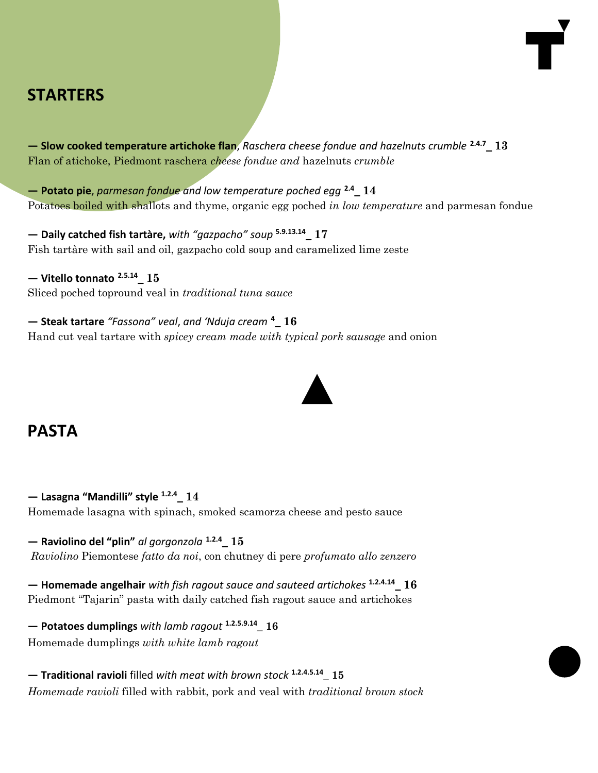# **STARTERS**

**— Slow cooked temperature artichoke flan**, *Raschera cheese fondue and hazelnuts crumble* **2.4.7\_ 13** Flan of atichoke, Piedmont raschera *cheese fondue and* hazelnuts *crumble*

**— Potato pie**, *parmesan fondue and low temperature poched egg* **2.4\_ 14** Potatoes boiled with shallots and thyme, organic egg poched *in low temperature* and parmesan fondue

**— Daily catched fish tartàre,** *with "gazpacho" soup* **5.9.13.14\_ 17** Fish tartàre with sail and oil, gazpacho cold soup and caramelized lime zeste

**— Vitello tonnato 2.5.14\_ 15** Sliced poched topround veal in *traditional tuna sauce*

**— Steak tartare** *"Fassona" veal*, *and 'Nduja cream* **<sup>4</sup>\_ 16** Hand cut veal tartare with *spicey cream made with typical pork sausage* and onion

## **PASTA**

**— Lasagna "Mandilli" style 1.2.4\_ 14** Homemade lasagna with spinach, smoked scamorza cheese and pesto sauce

**— Raviolino del "plin"** *al gorgonzola* **1.2.4\_ 15** *Raviolino* Piemontese *fatto da noi*, con chutney di pere *profumato allo zenzero*

**— Homemade angelhair** *with fish ragout sauce and sauteed artichokes* **1.2.4.14\_ 16** Piedmont "Tajarin" pasta with daily catched fish ragout sauce and artichokes

**— Potatoes dumplings** *with lamb ragout* **1.2.5.9.14\_ 16** Homemade dumplings *with white lamb ragout*

**— Traditional ravioli** filled *with meat with brown stock* **1.2.4.5.14\_ 15** *Homemade ravioli* filled with rabbit, pork and veal with *traditional brown stock*